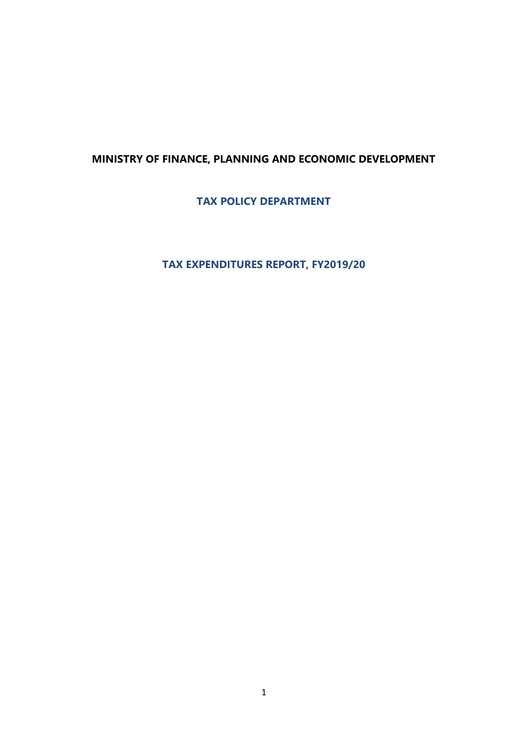## **MINISTRY OF FINANCE, PLANNING AND ECONOMIC DEVELOPMENT**

**TAX POLICY DEPARTMENT** 

**TAX EXPENDITURES REPORT, FY2019/20**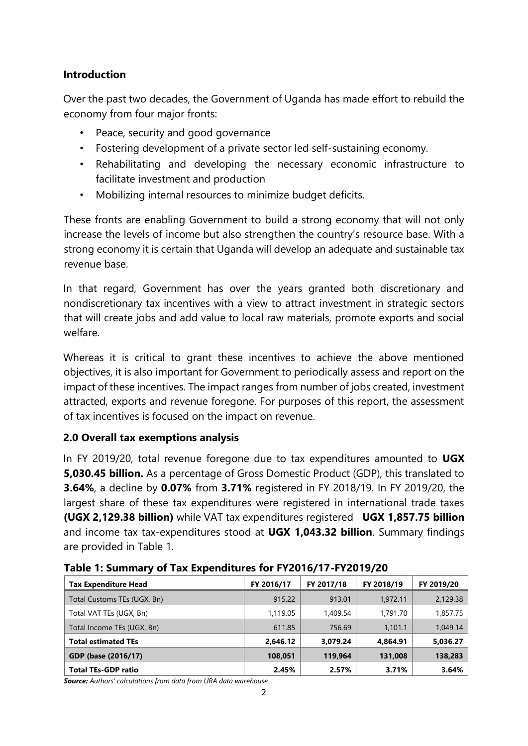## **Introduction**

Over the past two decades, the Government of Uganda has made effort to rebuild the economy from four major fronts:

- Peace, security and good governance
- Fostering development of a private sector led self-sustaining economy.
- Rehabilitating and developing the necessary economic infrastructure to facilitate investment and production
- Mobilizing internal resources to minimize budget deficits.

These fronts are enabling Government to build a strong economy that will not only increase the levels of income but also strengthen the country's resource base. With a strong economy it is certain that Uganda will develop an adequate and sustainable tax revenue base.

In that regard, Government has over the years granted both discretionary and nondiscretionary tax incentives with a view to attract investment in strategic sectors that will create jobs and add value to local raw materials, promote exports and social welfare.

Whereas it is critical to grant these incentives to achieve the above mentioned objectives, it is also important for Government to periodically assess and report on the impact of these incentives. The impact ranges from number of jobs created, investment attracted, exports and revenue foregone. For purposes of this report, the assessment of tax incentives is focused on the impact on revenue.

## **2.0 Overall tax exemptions analysis**

In FY 2019/20, total revenue foregone due to tax expenditures amounted to **UGX 5,030.45 billion.** As a percentage of Gross Domestic Product (GDP), this translated to **3.64%**, a decline by **0.07%** from **3.71%** registered in FY 2018/19. In FY 2019/20, the largest share of these tax expenditures were registered in international trade taxes **(UGX 2,129.38 billion)** while VAT tax expenditures registered **UGX 1,857.75 billion** and income tax tax-expenditures stood at **UGX 1,043.32 billion**. Summary findings are provided in Table 1.

| <b>Tax Expenditure Head</b> | FY 2016/17 | FY 2017/18 | FY 2018/19 | FY 2019/20 |  |  |  |
|-----------------------------|------------|------------|------------|------------|--|--|--|
| Total Customs TEs (UGX, Bn) | 915.22     | 913.01     | 1,972.11   | 2,129.38   |  |  |  |
| Total VAT TEs (UGX, Bn)     | 1,119.05   | 1.409.54   | 1,791.70   | 1,857.75   |  |  |  |
| Total Income TEs (UGX, Bn)  | 611.85     | 756.69     | 1.101.1    | 1,049.14   |  |  |  |
| <b>Total estimated TEs</b>  | 2,646.12   | 3,079.24   | 4,864.91   | 5,036.27   |  |  |  |
| GDP (base (2016/17)         | 108,051    | 119.964    | 131,008    | 138,283    |  |  |  |
| <b>Total TEs-GDP ratio</b>  | 2.45%      | 2.57%      | 3.71%      | 3.64%      |  |  |  |

**Table 1: Summary of Tax Expenditures for FY2016/17-FY2019/20** 

*Source: Authors' calculations from data from URA data warehouse*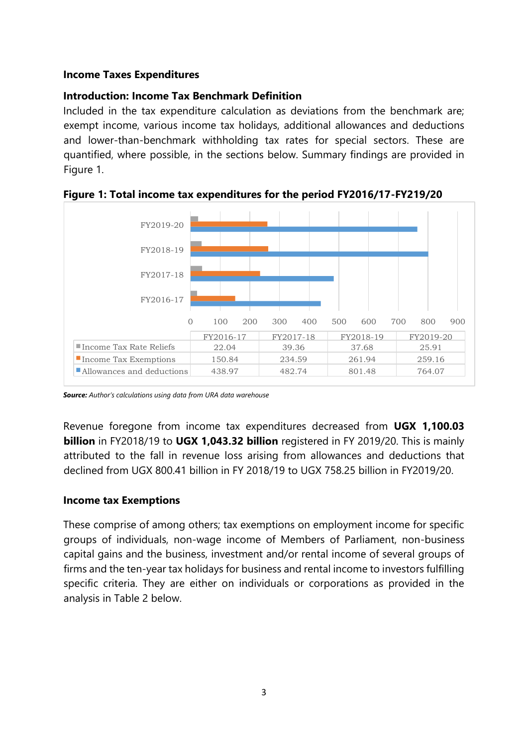## **Income Taxes Expenditures**

### **Introduction: Income Tax Benchmark Definition**

Included in the tax expenditure calculation as deviations from the benchmark are; exempt income, various income tax holidays, additional allowances and deductions and lower-than-benchmark withholding tax rates for special sectors. These are quantified, where possible, in the sections below. Summary findings are provided in Figure 1.



**Figure 1: Total income tax expenditures for the period FY2016/17-FY219/20** 

*Source: Author's calculations using data from URA data warehouse*

Revenue foregone from income tax expenditures decreased from **UGX 1,100.03 billion** in FY2018/19 to **UGX 1,043.32 billion** registered in FY 2019/20. This is mainly attributed to the fall in revenue loss arising from allowances and deductions that declined from UGX 800.41 billion in FY 2018/19 to UGX 758.25 billion in FY2019/20.

#### **Income tax Exemptions**

These comprise of among others; tax exemptions on employment income for specific groups of individuals, non-wage income of Members of Parliament, non-business capital gains and the business, investment and/or rental income of several groups of firms and the ten-year tax holidays for business and rental income to investors fulfilling specific criteria. They are either on individuals or corporations as provided in the analysis in Table 2 below.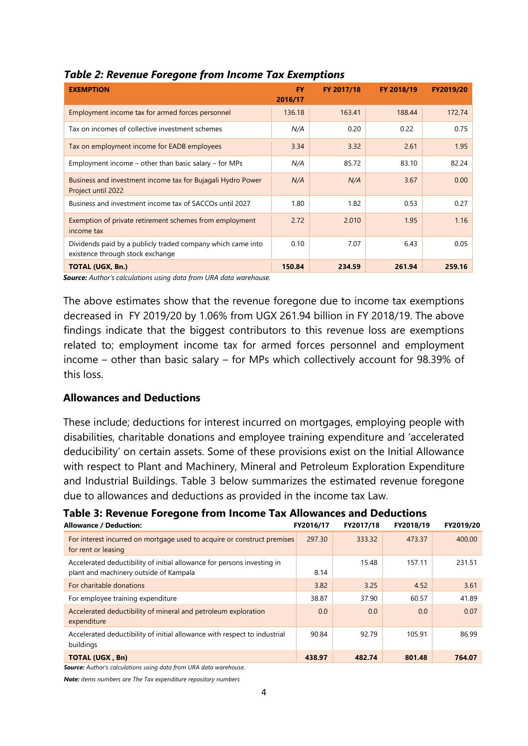| <b>EXEMPTION</b>                                                                                | <b>FY</b><br>2016/17 | FY 2017/18 | FY 2018/19 | FY2019/20 |
|-------------------------------------------------------------------------------------------------|----------------------|------------|------------|-----------|
| Employment income tax for armed forces personnel                                                | 136.18               | 163.41     | 188.44     | 172.74    |
| Tax on incomes of collective investment schemes                                                 | N/A                  | 0.20       | 0.22       | 0.75      |
| Tax on employment income for EADB employees                                                     | 3.34                 | 3.32       | 2.61       | 1.95      |
| Employment income $-$ other than basic salary $-$ for MPs                                       | N/A                  | 85.72      | 83.10      | 82.24     |
| Business and investment income tax for Bujagali Hydro Power<br>Project until 2022               | N/A                  | N/A        | 3.67       | 0.00      |
| Business and investment income tax of SACCOs until 2027                                         | 1.80                 | 1.82       | 0.53       | 0.27      |
| Exemption of private retirement schemes from employment<br>income tax                           | 2.72                 | 2.010      | 1.95       | 1.16      |
| Dividends paid by a publicly traded company which came into<br>existence through stock exchange | 0.10                 | 7.07       | 6.43       | 0.05      |
| <b>TOTAL (UGX, Bn.)</b>                                                                         | 150.84               | 234.59     | 261.94     | 259.16    |

#### *Table 2: Revenue Foregone from Income Tax Exemptions*

*Source: Author's calculations using data from URA data warehouse.*

The above estimates show that the revenue foregone due to income tax exemptions decreased in FY 2019/20 by 1.06% from UGX 261.94 billion in FY 2018/19. The above findings indicate that the biggest contributors to this revenue loss are exemptions related to; employment income tax for armed forces personnel and employment income – other than basic salary – for MPs which collectively account for 98.39% of this loss.

#### **Allowances and Deductions**

These include; deductions for interest incurred on mortgages, employing people with disabilities, charitable donations and employee training expenditure and 'accelerated deducibility' on certain assets. Some of these provisions exist on the Initial Allowance with respect to Plant and Machinery, Mineral and Petroleum Exploration Expenditure and Industrial Buildings. Table 3 below summarizes the estimated revenue foregone due to allowances and deductions as provided in the income tax Law.

#### **Table 3: Revenue Foregone from Income Tax Allowances and Deductions**

| <b>Allowance / Deduction:</b>                                                                                     | FY2016/17 | FY2017/18 | FY2018/19 | FY2019/20 |
|-------------------------------------------------------------------------------------------------------------------|-----------|-----------|-----------|-----------|
| For interest incurred on mortgage used to acquire or construct premises<br>for rent or leasing                    | 297.30    | 333.32    | 473.37    | 400.00    |
| Accelerated deductibility of initial allowance for persons investing in<br>plant and machinery outside of Kampala | 8.14      | 15.48     | 157.11    | 231.51    |
| For charitable donations                                                                                          | 3.82      | 3.25      | 4.52      | 3.61      |
| For employee training expenditure                                                                                 | 38.87     | 37.90     | 60.57     | 41.89     |
| Accelerated deductibility of mineral and petroleum exploration<br>expenditure                                     | 0.0       | 0.0       | 0.0       | 0.07      |
| Accelerated deductibility of initial allowance with respect to industrial<br>buildings                            | 90.84     | 92.79     | 105.91    | 86.99     |
| <b>TOTAL (UGX, Bn)</b>                                                                                            | 438.97    | 482.74    | 801.48    | 764.07    |

*Source: Author's calculations using data from URA data warehouse.*

*Note: items numbers are The Tax expenditure repository numbers*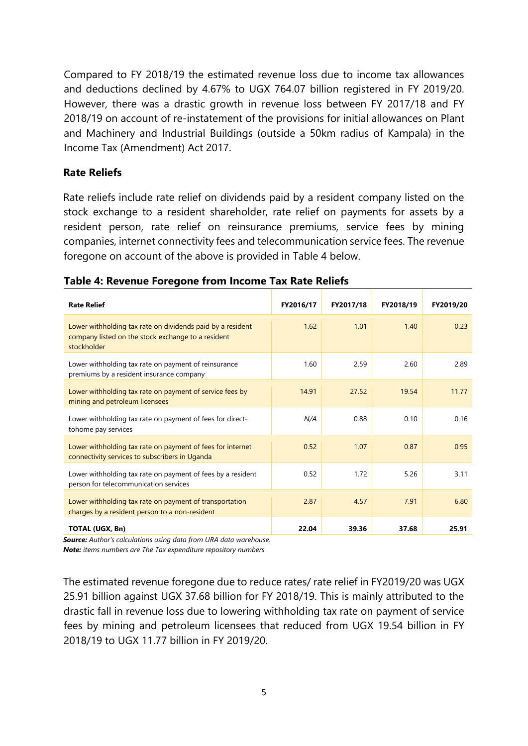Compared to FY 2018/19 the estimated revenue loss due to income tax allowances and deductions declined by 4.67% to UGX 764.07 billion registered in FY 2019/20. However, there was a drastic growth in revenue loss between FY 2017/18 and FY 2018/19 on account of re-instatement of the provisions for initial allowances on Plant and Machinery and Industrial Buildings (outside a 50km radius of Kampala) in the Income Tax (Amendment) Act 2017.

## **Rate Reliefs**

Rate reliefs include rate relief on dividends paid by a resident company listed on the stock exchange to a resident shareholder, rate relief on payments for assets by a resident person, rate relief on reinsurance premiums, service fees by mining companies, internet connectivity fees and telecommunication service fees. The revenue foregone on account of the above is provided in Table 4 below.

| <b>Rate Relief</b>                                                                                                              | FY2016/17 | FY2017/18 | FY2018/19 | FY2019/20 |
|---------------------------------------------------------------------------------------------------------------------------------|-----------|-----------|-----------|-----------|
| Lower withholding tax rate on dividends paid by a resident<br>company listed on the stock exchange to a resident<br>stockholder | 1.62      | 1.01      | 1.40      | 0.23      |
| Lower withholding tax rate on payment of reinsurance<br>premiums by a resident insurance company                                | 1.60      | 2.59      | 2.60      | 2.89      |
| Lower withholding tax rate on payment of service fees by<br>mining and petroleum licensees                                      | 14.91     | 27.52     | 19.54     | 11.77     |
| Lower withholding tax rate on payment of fees for direct-<br>tohome pay services                                                | N/A       | 0.88      | 0.10      | 0.16      |
| Lower withholding tax rate on payment of fees for internet<br>connectivity services to subscribers in Uganda                    | 0.52      | 1.07      | 0.87      | 0.95      |
| Lower withholding tax rate on payment of fees by a resident<br>person for telecommunication services                            | 0.52      | 1.72      | 5.26      | 3.11      |
| Lower withholding tax rate on payment of transportation<br>charges by a resident person to a non-resident                       | 2.87      | 4.57      | 7.91      | 6.80      |
| TOTAL (UGX, Bn)                                                                                                                 | 22.04     | 39.36     | 37.68     | 25.91     |

#### **Table 4: Revenue Foregone from Income Tax Rate Reliefs**

*Source: Author's calculations using data from URA data warehouse. Note: items numbers are The Tax expenditure repository numbers*

The estimated revenue foregone due to reduce rates/ rate relief in FY2019/20 was UGX 25.91 billion against UGX 37.68 billion for FY 2018/19. This is mainly attributed to the drastic fall in revenue loss due to lowering withholding tax rate on payment of service fees by mining and petroleum licensees that reduced from UGX 19.54 billion in FY 2018/19 to UGX 11.77 billion in FY 2019/20.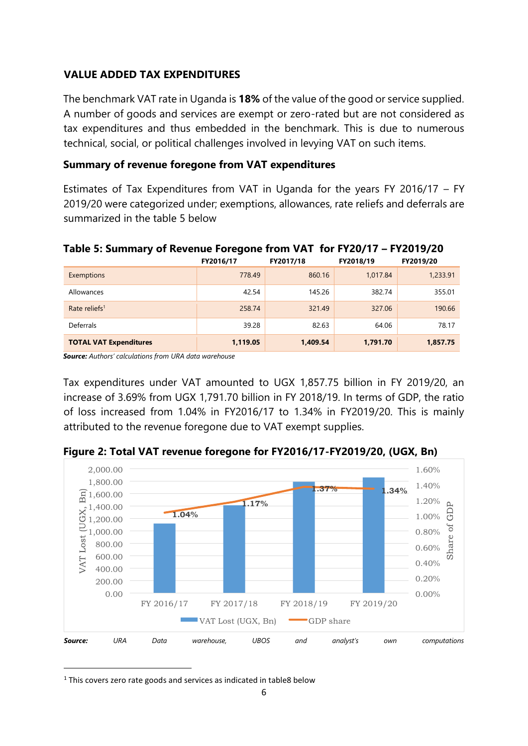## **VALUE ADDED TAX EXPENDITURES**

The benchmark VAT rate in Uganda is **18%** of the value of the good or service supplied. A number of goods and services are exempt or zero-rated but are not considered as tax expenditures and thus embedded in the benchmark. This is due to numerous technical, social, or political challenges involved in levying VAT on such items.

## **Summary of revenue foregone from VAT expenditures**

Estimates of Tax Expenditures from VAT in Uganda for the years FY 2016/17 – FY 2019/20 were categorized under; exemptions, allowances, rate reliefs and deferrals are summarized in the table 5 below

|                               | ∽<br>FY2016/17 | FY2017/18 | FY2018/19 | FY2019/20 |
|-------------------------------|----------------|-----------|-----------|-----------|
| Exemptions                    | 778.49         | 860.16    | 1,017.84  | 1,233.91  |
| Allowances                    | 42.54          | 145.26    | 382.74    | 355.01    |
| Rate reliefs <sup>1</sup>     | 258.74         | 321.49    | 327.06    | 190.66    |
| Deferrals                     | 39.28          | 82.63     | 64.06     | 78.17     |
| <b>TOTAL VAT Expenditures</b> | 1,119.05       | 1,409.54  | 1,791.70  | 1,857.75  |

## **Table 5: Summary of Revenue Foregone from VAT for FY20/17 – FY2019/20**

*Source: Authors' calculations from URA data warehouse* 

Tax expenditures under VAT amounted to UGX 1,857.75 billion in FY 2019/20, an increase of 3.69% from UGX 1,791.70 billion in FY 2018/19. In terms of GDP, the ratio of loss increased from 1.04% in FY2016/17 to 1.34% in FY2019/20. This is mainly attributed to the revenue foregone due to VAT exempt supplies.



**Figure 2: Total VAT revenue foregone for FY2016/17-FY2019/20, (UGX, Bn)** 

<sup>1</sup> This covers zero rate goods and services as indicated in table8 below

 $\overline{a}$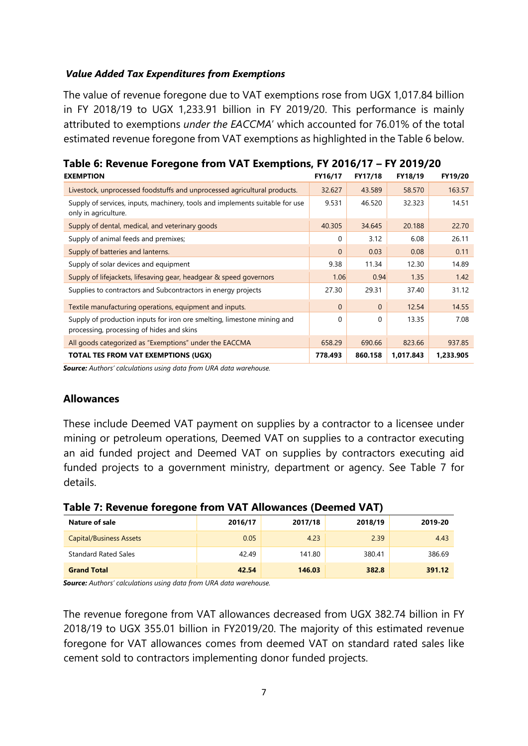#### *Value Added Tax Expenditures from Exemptions*

The value of revenue foregone due to VAT exemptions rose from UGX 1,017.84 billion in FY 2018/19 to UGX 1,233.91 billion in FY 2019/20. This performance is mainly attributed to exemptions *under the EACCMA*' which accounted for 76.01% of the total estimated revenue foregone from VAT exemptions as highlighted in the Table 6 below.

| <b>EXEMPTION</b>                                                                                                     | FY16/17      | <b>FY17/18</b> | FY18/19   | FY19/20   |
|----------------------------------------------------------------------------------------------------------------------|--------------|----------------|-----------|-----------|
| Livestock, unprocessed foodstuffs and unprocessed agricultural products.                                             | 32.627       | 43.589         | 58.570    | 163.57    |
| Supply of services, inputs, machinery, tools and implements suitable for use<br>only in agriculture.                 | 9.531        | 46.520         | 32.323    | 14.51     |
| Supply of dental, medical, and veterinary goods                                                                      | 40.305       | 34.645         | 20.188    | 22.70     |
| Supply of animal feeds and premixes;                                                                                 | $\Omega$     | 3.12           | 6.08      | 26.11     |
| Supply of batteries and lanterns.                                                                                    | $\mathbf{0}$ | 0.03           | 0.08      | 0.11      |
| Supply of solar devices and equipment                                                                                | 9.38         | 11.34          | 12.30     | 14.89     |
| Supply of lifejackets, lifesaving gear, headgear & speed governors                                                   | 1.06         | 0.94           | 1.35      | 1.42      |
| Supplies to contractors and Subcontractors in energy projects                                                        | 27.30        | 29.31          | 37.40     | 31.12     |
| Textile manufacturing operations, equipment and inputs.                                                              | $\Omega$     | $\Omega$       | 12.54     | 14.55     |
| Supply of production inputs for iron ore smelting, limestone mining and<br>processing, processing of hides and skins | $\Omega$     | $\Omega$       | 13.35     | 7.08      |
| All goods categorized as "Exemptions" under the EACCMA                                                               | 658.29       | 690.66         | 823.66    | 937.85    |
| TOTAL TES FROM VAT EXEMPTIONS (UGX)                                                                                  | 778.493      | 860.158        | 1,017.843 | 1,233.905 |

**Table 6: Revenue Foregone from VAT Exemptions, FY 2016/17 – FY 2019/20** 

*Source: Authors' calculations using data from URA data warehouse.* 

#### **Allowances**

These include Deemed VAT payment on supplies by a contractor to a licensee under mining or petroleum operations, Deemed VAT on supplies to a contractor executing an aid funded project and Deemed VAT on supplies by contractors executing aid funded projects to a government ministry, department or agency. See Table 7 for details.

| Table 7: Revenue foregone from VAT Allowances (Deemed VAT) |
|------------------------------------------------------------|
|------------------------------------------------------------|

| Nature of sale                 | 2016/17 | 2017/18 | 2018/19 | 2019-20 |
|--------------------------------|---------|---------|---------|---------|
| <b>Capital/Business Assets</b> | 0.05    | 4.23    | 2.39    | 4.43    |
| <b>Standard Rated Sales</b>    | 42.49   | 141.80  | 380.41  | 386.69  |
| <b>Grand Total</b>             | 42.54   | 146.03  | 382.8   | 391.12  |

*Source: Authors' calculations using data from URA data warehouse.* 

The revenue foregone from VAT allowances decreased from UGX 382.74 billion in FY 2018/19 to UGX 355.01 billion in FY2019/20. The majority of this estimated revenue foregone for VAT allowances comes from deemed VAT on standard rated sales like cement sold to contractors implementing donor funded projects.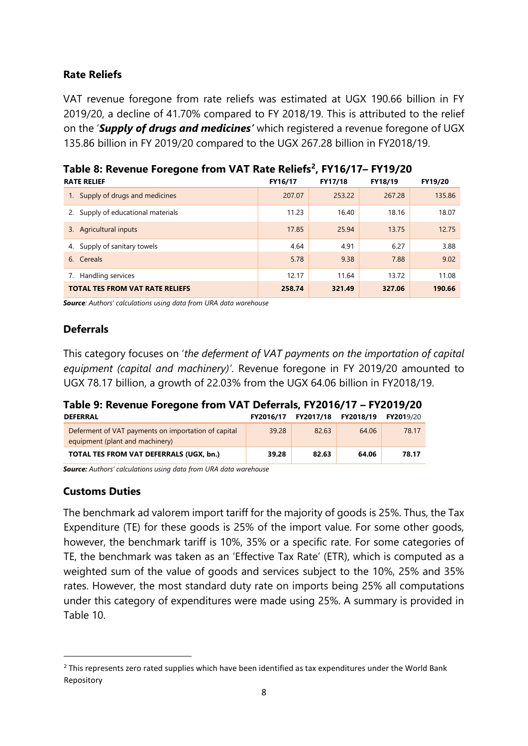## **Rate Reliefs**

VAT revenue foregone from rate reliefs was estimated at UGX 190.66 billion in FY 2019/20, a decline of 41.70% compared to FY 2018/19. This is attributed to the relief on the '*Supply of drugs and medicines'* which registered a revenue foregone of UGX 135.86 billion in FY 2019/20 compared to the UGX 267.28 billion in FY2018/19.

| <b>THE CONTRACT OF A CONTRACT CONTRACT CONTRACT A CONTRACT CONTRACT CONTRACT CONTRACT CONTRACT CONTRACT CONTRACT CONTRACT CONTRACT CONTRACT CONTRACT CONTRACT CONTRACT CONTRACT CONTRACT CONTRACT CONTRACT CONTRACT CONTRACT CO</b> |         |                |         |         |
|-------------------------------------------------------------------------------------------------------------------------------------------------------------------------------------------------------------------------------------|---------|----------------|---------|---------|
| <b>RATE RELIEF</b>                                                                                                                                                                                                                  | FY16/17 | <b>FY17/18</b> | FY18/19 | FY19/20 |
| 1. Supply of drugs and medicines                                                                                                                                                                                                    | 207.07  | 253.22         | 267.28  | 135.86  |
| 2. Supply of educational materials                                                                                                                                                                                                  | 11.23   | 16.40          | 18.16   | 18.07   |
| 3. Agricultural inputs                                                                                                                                                                                                              | 17.85   | 25.94          | 13.75   | 12.75   |
| 4. Supply of sanitary towels                                                                                                                                                                                                        | 4.64    | 4.91           | 6.27    | 3.88    |
| 6. Cereals                                                                                                                                                                                                                          | 5.78    | 9.38           | 7.88    | 9.02    |
| 7. Handling services                                                                                                                                                                                                                | 12.17   | 11.64          | 13.72   | 11.08   |
| <b>TOTAL TES FROM VAT RATE RELIEFS</b>                                                                                                                                                                                              | 258.74  | 321.49         | 327.06  | 190.66  |

**Table 8: Revenue Foregone from VAT Rate Reliefs<sup>2</sup> , FY16/17– FY19/20** 

*Source: Authors' calculations using data from URA data warehouse* 

## **Deferrals**

This category focuses on '*the deferment of VAT payments on the importation of capital equipment (capital and machinery)'*. Revenue foregone in FY 2019/20 amounted to UGX 78.17 billion, a growth of 22.03% from the UGX 64.06 billion in FY2018/19.

| Table 9: Revenue Foregone from VAT Deferrals, FY2016/17 - FY2019/20 |  |                                         |  |
|---------------------------------------------------------------------|--|-----------------------------------------|--|
| <b>DEFERRAL</b>                                                     |  | FY2016/17 FY2017/18 FY2018/19 FY2019/20 |  |

| Deferment of VAT payments on importation of capital<br>equipment (plant and machinery) | 39.28 | 82.63 | 64.06 | 78.17 |
|----------------------------------------------------------------------------------------|-------|-------|-------|-------|
| TOTAL TES FROM VAT DEFERRALS (UGX, bn.)                                                | 39.28 | 82.63 | 64.06 | 78.17 |

*Source: Authors' calculations using data from URA data warehouse* 

#### **Customs Duties**

1

The benchmark ad valorem import tariff for the majority of goods is 25%. Thus, the Tax Expenditure (TE) for these goods is 25% of the import value. For some other goods, however, the benchmark tariff is 10%, 35% or a specific rate. For some categories of TE, the benchmark was taken as an 'Effective Tax Rate' (ETR), which is computed as a weighted sum of the value of goods and services subject to the 10%, 25% and 35% rates. However, the most standard duty rate on imports being 25% all computations under this category of expenditures were made using 25%. A summary is provided in Table 10.

 $<sup>2</sup>$  This represents zero rated supplies which have been identified as tax expenditures under the World Bank</sup> Repository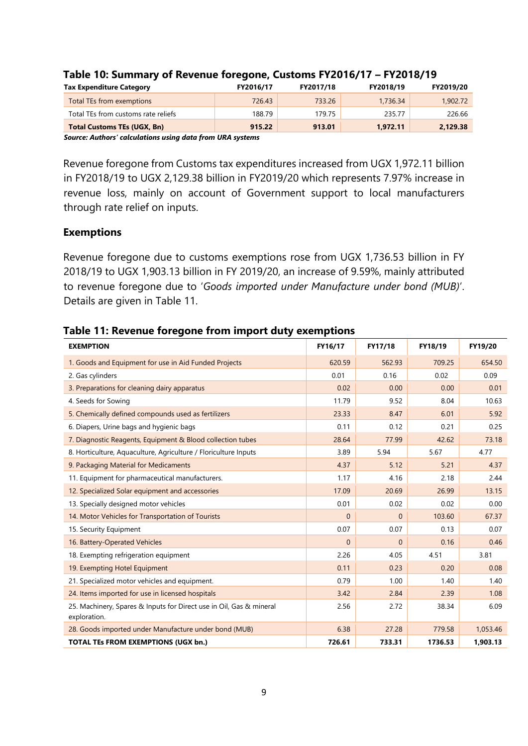| <b>Tax Expenditure Category</b>     | FY2016/17 | FY2017/18 | FY2018/19 | FY2019/20 |
|-------------------------------------|-----------|-----------|-----------|-----------|
| Total TEs from exemptions           | 726.43    | 733.26    | 1,736.34  | 1,902.72  |
| Total TEs from customs rate reliefs | 188.79    | 179.75    | 235.77    | 226.66    |
| <b>Total Customs TEs (UGX, Bn)</b>  | 915.22    | 913.01    | 1,972.11  | 2,129.38  |

#### **Table 10: Summary of Revenue foregone, Customs FY2016/17 – FY2018/19**

*Source: Authors' calculations using data from URA systems*

Revenue foregone from Customs tax expenditures increased from UGX 1,972.11 billion in FY2018/19 to UGX 2,129.38 billion in FY2019/20 which represents 7.97% increase in revenue loss, mainly on account of Government support to local manufacturers through rate relief on inputs.

#### **Exemptions**

Revenue foregone due to customs exemptions rose from UGX 1,736.53 billion in FY 2018/19 to UGX 1,903.13 billion in FY 2019/20, an increase of 9.59%, mainly attributed to revenue foregone due to '*Goods imported under Manufacture under bond (MUB)*'. Details are given in Table 11.

| <b>EXEMPTION</b>                                                                    | FY16/17      | FY17/18      | FY18/19 | FY19/20  |
|-------------------------------------------------------------------------------------|--------------|--------------|---------|----------|
| 1. Goods and Equipment for use in Aid Funded Projects                               | 620.59       | 562.93       | 709.25  | 654.50   |
| 2. Gas cylinders                                                                    | 0.01         | 0.16         | 0.02    | 0.09     |
| 3. Preparations for cleaning dairy apparatus                                        | 0.02         | 0.00         | 0.00    | 0.01     |
| 4. Seeds for Sowing                                                                 | 11.79        | 9.52         | 8.04    | 10.63    |
| 5. Chemically defined compounds used as fertilizers                                 | 23.33        | 8.47         | 6.01    | 5.92     |
| 6. Diapers, Urine bags and hygienic bags                                            | 0.11         | 0.12         | 0.21    | 0.25     |
| 7. Diagnostic Reagents, Equipment & Blood collection tubes                          | 28.64        | 77.99        | 42.62   | 73.18    |
| 8. Horticulture, Aquaculture, Agriculture / Floriculture Inputs                     | 3.89         | 5.94         | 5.67    | 4.77     |
| 9. Packaging Material for Medicaments                                               | 4.37         | 5.12         | 5.21    | 4.37     |
| 11. Equipment for pharmaceutical manufacturers.                                     | 1.17         | 4.16         | 2.18    | 2.44     |
| 12. Specialized Solar equipment and accessories                                     | 17.09        | 20.69        | 26.99   | 13.15    |
| 13. Specially designed motor vehicles                                               | 0.01         | 0.02         | 0.02    | 0.00     |
| 14. Motor Vehicles for Transportation of Tourists                                   | $\mathbf{0}$ | $\mathbf{0}$ | 103.60  | 67.37    |
| 15. Security Equipment                                                              | 0.07         | 0.07         | 0.13    | 0.07     |
| 16. Battery-Operated Vehicles                                                       | $\mathbf{0}$ | $\mathbf{0}$ | 0.16    | 0.46     |
| 18. Exempting refrigeration equipment                                               | 2.26         | 4.05         | 4.51    | 3.81     |
| 19. Exempting Hotel Equipment                                                       | 0.11         | 0.23         | 0.20    | 0.08     |
| 21. Specialized motor vehicles and equipment.                                       | 0.79         | 1.00         | 1.40    | 1.40     |
| 24. Items imported for use in licensed hospitals                                    | 3.42         | 2.84         | 2.39    | 1.08     |
| 25. Machinery, Spares & Inputs for Direct use in Oil, Gas & mineral<br>exploration. | 2.56         | 2.72         | 38.34   | 6.09     |
| 28. Goods imported under Manufacture under bond (MUB)                               | 6.38         | 27.28        | 779.58  | 1,053.46 |
| <b>TOTAL TEs FROM EXEMPTIONS (UGX bn.)</b>                                          | 726.61       | 733.31       | 1736.53 | 1,903.13 |

**Table 11: Revenue foregone from import duty exemptions**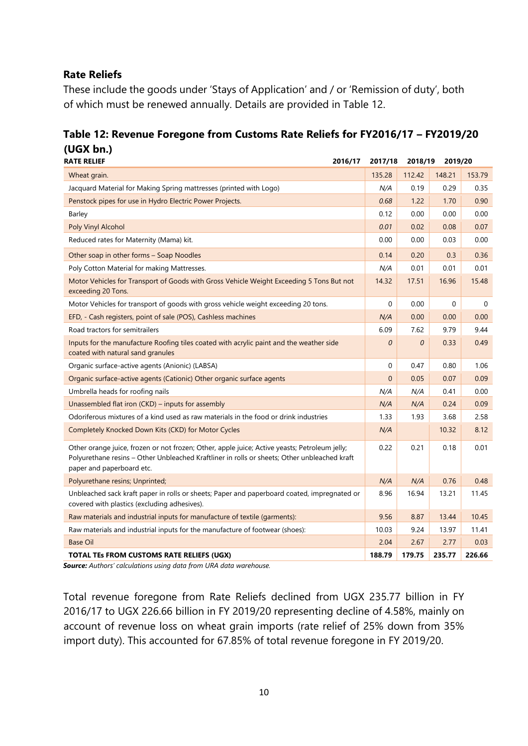## **Rate Reliefs**

These include the goods under 'Stays of Application' and / or 'Remission of duty', both of which must be renewed annually. Details are provided in Table 12.

| Table 12: Revenue Foregone from Customs Rate Reliefs for FY2016/17 - FY2019/20 |  |
|--------------------------------------------------------------------------------|--|
| (UGX bn.)                                                                      |  |

| 2016/17<br><b>RATE RELIEF</b>                                                                                                                                                                                              | 2017/18  | 2018/19       | 2019/20 |        |
|----------------------------------------------------------------------------------------------------------------------------------------------------------------------------------------------------------------------------|----------|---------------|---------|--------|
| Wheat grain.                                                                                                                                                                                                               | 135.28   | 112.42        | 148.21  | 153.79 |
| Jacquard Material for Making Spring mattresses (printed with Logo)                                                                                                                                                         | N/A      | 0.19          | 0.29    | 0.35   |
| Penstock pipes for use in Hydro Electric Power Projects.                                                                                                                                                                   | 0.68     | 1.22          | 1.70    | 0.90   |
| <b>Barley</b>                                                                                                                                                                                                              | 0.12     | 0.00          | 0.00    | 0.00   |
| Poly Vinyl Alcohol                                                                                                                                                                                                         | 0.01     | 0.02          | 0.08    | 0.07   |
| Reduced rates for Maternity (Mama) kit.                                                                                                                                                                                    | 0.00     | 0.00          | 0.03    | 0.00   |
| Other soap in other forms - Soap Noodles                                                                                                                                                                                   | 0.14     | 0.20          | 0.3     | 0.36   |
| Poly Cotton Material for making Mattresses.                                                                                                                                                                                | N/A      | 0.01          | 0.01    | 0.01   |
| Motor Vehicles for Transport of Goods with Gross Vehicle Weight Exceeding 5 Tons But not<br>exceeding 20 Tons.                                                                                                             | 14.32    | 17.51         | 16.96   | 15.48  |
| Motor Vehicles for transport of goods with gross vehicle weight exceeding 20 tons.                                                                                                                                         | 0        | 0.00          | 0       | 0      |
| EFD, - Cash registers, point of sale (POS), Cashless machines                                                                                                                                                              | N/A      | 0.00          | 0.00    | 0.00   |
| Road tractors for semitrailers                                                                                                                                                                                             | 6.09     | 7.62          | 9.79    | 9.44   |
| Inputs for the manufacture Roofing tiles coated with acrylic paint and the weather side<br>coated with natural sand granules                                                                                               | 0        | $\mathcal{O}$ | 0.33    | 0.49   |
| Organic surface-active agents (Anionic) (LABSA)                                                                                                                                                                            | 0        | 0.47          | 0.80    | 1.06   |
| Organic surface-active agents (Cationic) Other organic surface agents                                                                                                                                                      | $\Omega$ | 0.05          | 0.07    | 0.09   |
| Umbrella heads for roofing nails                                                                                                                                                                                           | N/A      | N/A           | 0.41    | 0.00   |
| Unassembled flat iron (CKD) - inputs for assembly                                                                                                                                                                          | N/A      | N/A           | 0.24    | 0.09   |
| Odoriferous mixtures of a kind used as raw materials in the food or drink industries                                                                                                                                       | 1.33     | 1.93          | 3.68    | 2.58   |
| Completely Knocked Down Kits (CKD) for Motor Cycles                                                                                                                                                                        | N/A      |               | 10.32   | 8.12   |
| Other orange juice, frozen or not frozen; Other, apple juice; Active yeasts; Petroleum jelly;<br>Polyurethane resins - Other Unbleached Kraftliner in rolls or sheets; Other unbleached kraft<br>paper and paperboard etc. | 0.22     | 0.21          | 0.18    | 0.01   |
| Polyurethane resins; Unprinted;                                                                                                                                                                                            | N/A      | N/A           | 0.76    | 0.48   |
| Unbleached sack kraft paper in rolls or sheets; Paper and paperboard coated, impregnated or<br>covered with plastics (excluding adhesives).                                                                                | 8.96     | 16.94         | 13.21   | 11.45  |
| Raw materials and industrial inputs for manufacture of textile (garments):                                                                                                                                                 | 9.56     | 8.87          | 13.44   | 10.45  |
| Raw materials and industrial inputs for the manufacture of footwear (shoes):                                                                                                                                               | 10.03    | 9.24          | 13.97   | 11.41  |
| <b>Base Oil</b>                                                                                                                                                                                                            | 2.04     | 2.67          | 2.77    | 0.03   |
| TOTAL TEs FROM CUSTOMS RATE RELIEFS (UGX)                                                                                                                                                                                  | 188.79   | 179.75        | 235.77  | 226.66 |

*Source: Authors' calculations using data from URA data warehouse.* 

Total revenue foregone from Rate Reliefs declined from UGX 235.77 billion in FY 2016/17 to UGX 226.66 billion in FY 2019/20 representing decline of 4.58%, mainly on account of revenue loss on wheat grain imports (rate relief of 25% down from 35% import duty). This accounted for 67.85% of total revenue foregone in FY 2019/20.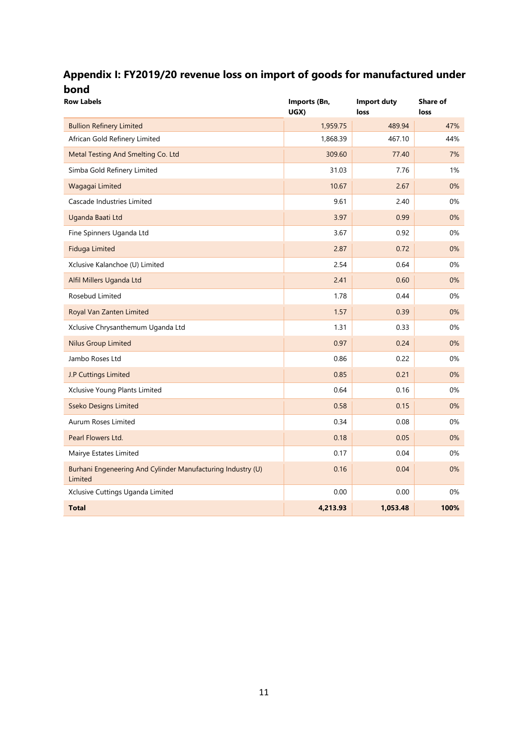## **Appendix I: FY2019/20 revenue loss on import of goods for manufactured under bond**

| <b>Row Labels</b>                                                      | Imports (Bn,<br>UGX) | <b>Import duty</b><br>loss | Share of<br>loss |
|------------------------------------------------------------------------|----------------------|----------------------------|------------------|
| <b>Bullion Refinery Limited</b>                                        | 1,959.75             | 489.94                     | 47%              |
| African Gold Refinery Limited                                          | 1,868.39             | 467.10                     | 44%              |
| Metal Testing And Smelting Co. Ltd                                     | 309.60               | 77.40                      | 7%               |
| Simba Gold Refinery Limited                                            | 31.03                | 7.76                       | 1%               |
| Wagagai Limited                                                        | 10.67                | 2.67                       | 0%               |
| Cascade Industries Limited                                             | 9.61                 | 2.40                       | 0%               |
| Uganda Baati Ltd                                                       | 3.97                 | 0.99                       | 0%               |
| Fine Spinners Uganda Ltd                                               | 3.67                 | 0.92                       | 0%               |
| <b>Fiduga Limited</b>                                                  | 2.87                 | 0.72                       | 0%               |
| Xclusive Kalanchoe (U) Limited                                         | 2.54                 | 0.64                       | 0%               |
| Alfil Millers Uganda Ltd                                               | 2.41                 | 0.60                       | 0%               |
| Rosebud Limited                                                        | 1.78                 | 0.44                       | 0%               |
| Royal Van Zanten Limited                                               | 1.57                 | 0.39                       | 0%               |
| Xclusive Chrysanthemum Uganda Ltd                                      | 1.31                 | 0.33                       | 0%               |
| <b>Nilus Group Limited</b>                                             | 0.97                 | 0.24                       | 0%               |
| Jambo Roses Ltd                                                        | 0.86                 | 0.22                       | 0%               |
| J.P Cuttings Limited                                                   | 0.85                 | 0.21                       | 0%               |
| Xclusive Young Plants Limited                                          | 0.64                 | 0.16                       | 0%               |
| <b>Sseko Designs Limited</b>                                           | 0.58                 | 0.15                       | 0%               |
| Aurum Roses Limited                                                    | 0.34                 | 0.08                       | 0%               |
| Pearl Flowers Ltd.                                                     | 0.18                 | 0.05                       | 0%               |
| Mairye Estates Limited                                                 | 0.17                 | 0.04                       | 0%               |
| Burhani Engeneering And Cylinder Manufacturing Industry (U)<br>Limited | 0.16                 | 0.04                       | 0%               |
| Xclusive Cuttings Uganda Limited                                       | 0.00                 | 0.00                       | 0%               |
| <b>Total</b>                                                           | 4,213.93             | 1,053.48                   | 100%             |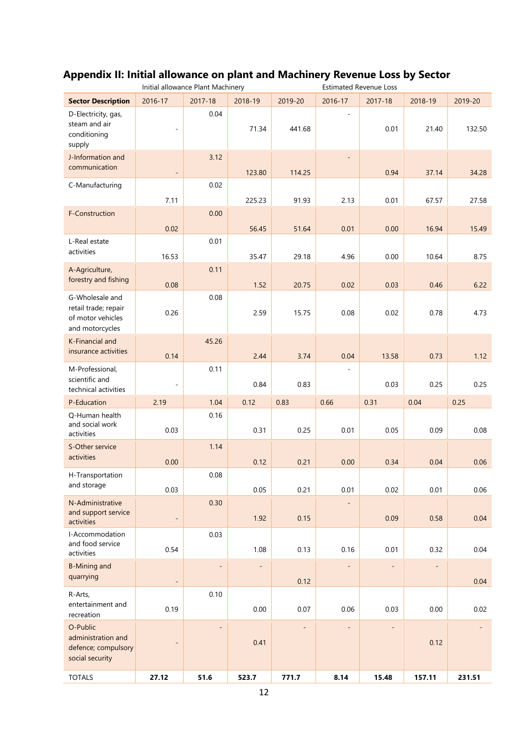|                                                                                 |                          | <b>Estimated Revenue Loss</b><br>Initial allowance Plant Machinery |                   |                   |                          |                          |         |         |
|---------------------------------------------------------------------------------|--------------------------|--------------------------------------------------------------------|-------------------|-------------------|--------------------------|--------------------------|---------|---------|
| <b>Sector Description</b>                                                       | 2016-17                  | 2017-18                                                            | 2018-19           | 2019-20           | 2016-17                  | 2017-18                  | 2018-19 | 2019-20 |
| D-Electricity, gas,<br>steam and air<br>conditioning<br>supply                  | ä,                       | 0.04                                                               | 71.34             | 441.68            |                          | 0.01                     | 21.40   | 132.50  |
| J-Information and<br>communication                                              | $\overline{\phantom{a}}$ | 3.12                                                               | 123.80            | 114.25            |                          | 0.94                     | 37.14   | 34.28   |
| C-Manufacturing                                                                 | 7.11                     | 0.02                                                               | 225.23            | 91.93             | 2.13                     | 0.01                     | 67.57   | 27.58   |
| F-Construction                                                                  | 0.02                     | 0.00                                                               | 56.45             | 51.64             | 0.01                     | 0.00                     | 16.94   | 15.49   |
| L-Real estate<br>activities                                                     | 16.53                    | 0.01                                                               | 35.47             | 29.18             | 4.96                     | 0.00                     | 10.64   | 8.75    |
| A-Agriculture,<br>forestry and fishing                                          | 0.08                     | 0.11                                                               | 1.52              | 20.75             | 0.02                     | 0.03                     | 0.46    | 6.22    |
| G-Wholesale and<br>retail trade; repair<br>of motor vehicles<br>and motorcycles | 0.26                     | 0.08                                                               | 2.59              | 15.75             | 0.08                     | 0.02                     | 0.78    | 4.73    |
| K-Financial and<br>insurance activities                                         | 0.14                     | 45.26                                                              | 2.44              | 3.74              | 0.04                     | 13.58                    | 0.73    | 1.12    |
| M-Professional,<br>scientific and<br>technical activities                       |                          | 0.11                                                               | 0.84              | 0.83              |                          | 0.03                     | 0.25    | 0.25    |
| P-Education                                                                     | 2.19                     | 1.04                                                               | 0.12              | 0.83              | 0.66                     | 0.31                     | 0.04    | 0.25    |
| Q-Human health<br>and social work<br>activities                                 | 0.03                     | 0.16                                                               | 0.31              | 0.25              | 0.01                     | 0.05                     | 0.09    | 0.08    |
| S-Other service<br>activities                                                   | 0.00                     | 1.14                                                               | 0.12              | 0.21              | 0.00                     | 0.34                     | 0.04    | 0.06    |
| H-Transportation<br>and storage                                                 | 0.03                     | 0.08                                                               | 0.05              | 0.21              | 0.01                     | 0.02                     | 0.01    | 0.06    |
| N-Administrative<br>and support service<br>activities                           | $\frac{1}{2}$            | 0.30                                                               | 1.92              | 0.15              |                          | 0.09                     | 0.58    | 0.04    |
| I-Accommodation<br>and food service<br>activities                               | 0.54                     | 0.03                                                               | 1.08              | 0.13              | 0.16                     | 0.01                     | 0.32    | 0.04    |
| <b>B-Mining and</b><br>quarrying                                                | $\overline{\phantom{a}}$ |                                                                    | $\qquad \qquad -$ | 0.12              | $\overline{\phantom{0}}$ |                          | -       | 0.04    |
| R-Arts,<br>entertainment and<br>recreation                                      | 0.19                     | 0.10                                                               | 0.00              | 0.07              | 0.06                     | 0.03                     | 0.00    | 0.02    |
| O-Public<br>administration and<br>defence; compulsory<br>social security        |                          |                                                                    | 0.41              | $\qquad \qquad -$ | $\overline{\phantom{a}}$ | $\overline{\phantom{a}}$ | 0.12    |         |
| <b>TOTALS</b>                                                                   | 27.12                    | 51.6                                                               | 523.7             | 771.7             | 8.14                     | 15.48                    | 157.11  | 231.51  |

# **Appendix II: Initial allowance on plant and Machinery Revenue Loss by Sector**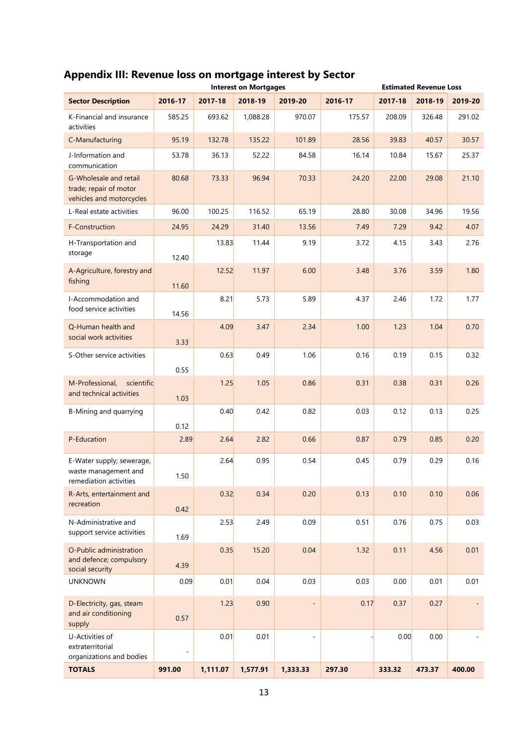| Appendix III: Revenue loss on mortgage interest by Sector |  |  |
|-----------------------------------------------------------|--|--|
|-----------------------------------------------------------|--|--|

|                                                                              | <b>Estimated Revenue Loss</b><br><b>Interest on Mortgages</b> |          |          |                              |         |         |         |         |
|------------------------------------------------------------------------------|---------------------------------------------------------------|----------|----------|------------------------------|---------|---------|---------|---------|
| <b>Sector Description</b>                                                    | 2016-17                                                       | 2017-18  | 2018-19  | 2019-20                      | 2016-17 | 2017-18 | 2018-19 | 2019-20 |
| K-Financial and insurance<br>activities                                      | 585.25                                                        | 693.62   | 1,088.28 | 970.07                       | 175.57  | 208.09  | 326.48  | 291.02  |
| C-Manufacturing                                                              | 95.19                                                         | 132.78   | 135.22   | 101.89                       | 28.56   | 39.83   | 40.57   | 30.57   |
| J-Information and<br>communication                                           | 53.78                                                         | 36.13    | 52.22    | 84.58                        | 16.14   | 10.84   | 15.67   | 25.37   |
| G-Wholesale and retail<br>trade; repair of motor<br>vehicles and motorcycles | 80.68                                                         | 73.33    | 96.94    | 70.33                        | 24.20   | 22.00   | 29.08   | 21.10   |
| L-Real estate activities                                                     | 96.00                                                         | 100.25   | 116.52   | 65.19                        | 28.80   | 30.08   | 34.96   | 19.56   |
| F-Construction                                                               | 24.95                                                         | 24.29    | 31.40    | 13.56                        | 7.49    | 7.29    | 9.42    | 4.07    |
| H-Transportation and<br>storage                                              | 12.40                                                         | 13.83    | 11.44    | 9.19                         | 3.72    | 4.15    | 3.43    | 2.76    |
| A-Agriculture, forestry and<br>fishing                                       | 11.60                                                         | 12.52    | 11.97    | 6.00                         | 3.48    | 3.76    | 3.59    | 1.80    |
| I-Accommodation and<br>food service activities                               | 14.56                                                         | 8.21     | 5.73     | 5.89                         | 4.37    | 2.46    | 1.72    | 1.77    |
| Q-Human health and<br>social work activities                                 | 3.33                                                          | 4.09     | 3.47     | 2.34                         | 1.00    | 1.23    | 1.04    | 0.70    |
| S-Other service activities                                                   | 0.55                                                          | 0.63     | 0.49     | 1.06                         | 0.16    | 0.19    | 0.15    | 0.32    |
| M-Professional,<br>scientific<br>and technical activities                    | 1.03                                                          | 1.25     | 1.05     | 0.86                         | 0.31    | 0.38    | 0.31    | 0.26    |
| B-Mining and quarrying                                                       | 0.12                                                          | 0.40     | 0.42     | 0.82                         | 0.03    | 0.12    | 0.13    | 0.25    |
| P-Education                                                                  | 2.89                                                          | 2.64     | 2.82     | 0.66                         | 0.87    | 0.79    | 0.85    | 0.20    |
| E-Water supply; sewerage,<br>waste management and<br>remediation activities  | 1.50                                                          | 2.64     | 0.95     | 0.54                         | 0.45    | 0.79    | 0.29    | 0.16    |
| R-Arts, entertainment and<br>recreation                                      | 0.42                                                          | 0.32     | 0.34     | 0.20                         | 0.13    | 0.10    | 0.10    | 0.06    |
| N-Administrative and<br>support service activities                           | 1.69                                                          | 2.53     | 2.49     | 0.09                         | 0.51    | 0.76    | 0.75    | 0.03    |
| O-Public administration<br>and defence; compulsory<br>social security        | 4.39                                                          | 0.35     | 15.20    | 0.04                         | 1.32    | 0.11    | 4.56    | 0.01    |
| <b>UNKNOWN</b>                                                               | 0.09                                                          | 0.01     | 0.04     | 0.03                         | 0.03    | 0.00    | 0.01    | 0.01    |
| D-Electricity, gas, steam<br>and air conditioning<br>supply                  | 0.57                                                          | 1.23     | 0.90     | $\qquad \qquad -$            | 0.17    | 0.37    | 0.27    |         |
| U-Activities of<br>extraterritorial<br>organizations and bodies              | ä,                                                            | 0.01     | 0.01     | $\qquad \qquad \blacksquare$ |         | 0.00    | 0.00    |         |
| <b>TOTALS</b>                                                                | 991.00                                                        | 1,111.07 | 1,577.91 | 1,333.33                     | 297.30  | 333.32  | 473.37  | 400.00  |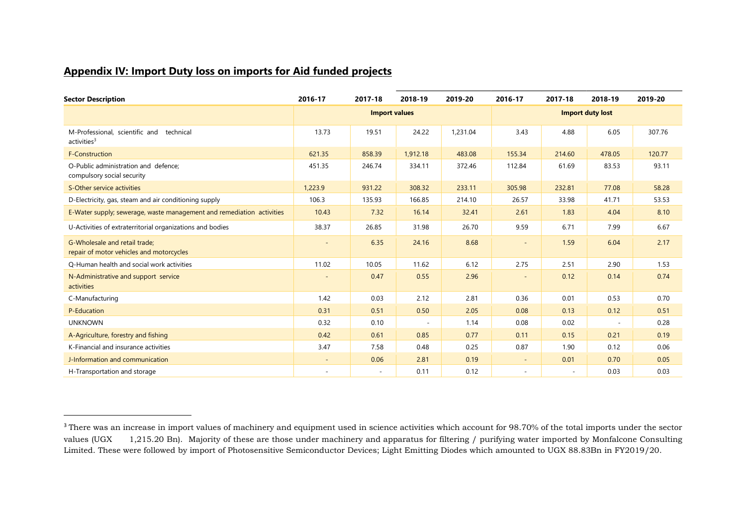## **Appendix IV: Import Duty loss on imports for Aid funded projects**

l

| <b>Sector Description</b>                                                 | 2016-17 | 2017-18                  | 2018-19                 | 2019-20  | 2016-17                  | 2017-18                  | 2018-19        | 2019-20 |
|---------------------------------------------------------------------------|---------|--------------------------|-------------------------|----------|--------------------------|--------------------------|----------------|---------|
|                                                                           |         |                          | <b>Import duty lost</b> |          |                          |                          |                |         |
| M-Professional, scientific and<br>technical<br>activeities <sup>3</sup>   | 13.73   | 19.51                    | 24.22                   | 1,231.04 | 3.43                     | 4.88                     | 6.05           | 307.76  |
| <b>F-Construction</b>                                                     | 621.35  | 858.39                   | 1,912.18                | 483.08   | 155.34                   | 214.60                   | 478.05         | 120.77  |
| O-Public administration and defence;<br>compulsory social security        | 451.35  | 246.74                   | 334.11                  | 372.46   | 112.84                   | 61.69                    | 83.53          | 93.11   |
| S-Other service activities                                                | 1,223.9 | 931.22                   | 308.32                  | 233.11   | 305.98                   | 232.81                   | 77.08          | 58.28   |
| D-Electricity, gas, steam and air conditioning supply                     | 106.3   | 135.93                   | 166.85                  | 214.10   | 26.57                    | 33.98                    | 41.71          | 53.53   |
| E-Water supply; sewerage, waste management and remediation activities     | 10.43   | 7.32                     | 16.14                   | 32.41    | 2.61                     | 1.83                     | 4.04           | 8.10    |
| U-Activities of extraterritorial organizations and bodies                 | 38.37   | 26.85                    | 31.98                   | 26.70    | 9.59                     | 6.71                     | 7.99           | 6.67    |
| G-Wholesale and retail trade;<br>repair of motor vehicles and motorcycles |         | 6.35                     | 24.16                   | 8.68     |                          | 1.59                     | 6.04           | 2.17    |
| Q-Human health and social work activities                                 | 11.02   | 10.05                    | 11.62                   | 6.12     | 2.75                     | 2.51                     | 2.90           | 1.53    |
| N-Administrative and support service<br>activities                        |         | 0.47                     | 0.55                    | 2.96     |                          | 0.12                     | 0.14           | 0.74    |
| C-Manufacturing                                                           | 1.42    | 0.03                     | 2.12                    | 2.81     | 0.36                     | 0.01                     | 0.53           | 0.70    |
| P-Education                                                               | 0.31    | 0.51                     | 0.50                    | 2.05     | 0.08                     | 0.13                     | 0.12           | 0.51    |
| <b>UNKNOWN</b>                                                            | 0.32    | 0.10                     |                         | 1.14     | 0.08                     | 0.02                     | $\overline{a}$ | 0.28    |
| A-Agriculture, forestry and fishing                                       | 0.42    | 0.61                     | 0.85                    | 0.77     | 0.11                     | 0.15                     | 0.21           | 0.19    |
| K-Financial and insurance activities                                      | 3.47    | 7.58                     | 0.48                    | 0.25     | 0.87                     | 1.90                     | 0.12           | 0.06    |
| J-Information and communication                                           | $\sim$  | 0.06                     | 2.81                    | 0.19     | $\sim$                   | 0.01                     | 0.70           | 0.05    |
| H-Transportation and storage                                              |         | $\overline{\phantom{a}}$ | 0.11                    | 0.12     | $\overline{\phantom{a}}$ | $\overline{\phantom{a}}$ | 0.03           | 0.03    |

<sup>&</sup>lt;sup>3</sup> There was an increase in import values of machinery and equipment used in science activities which account for 98.70% of the total imports under the sector values (UGX 1,215.20 Bn). Majority of these are those under machinery and apparatus for filtering / purifying water imported by Monfalcone Consulting Limited. These were followed by import of Photosensitive Semiconductor Devices; Light Emitting Diodes which amounted to UGX 88.83Bn in FY2019/20.